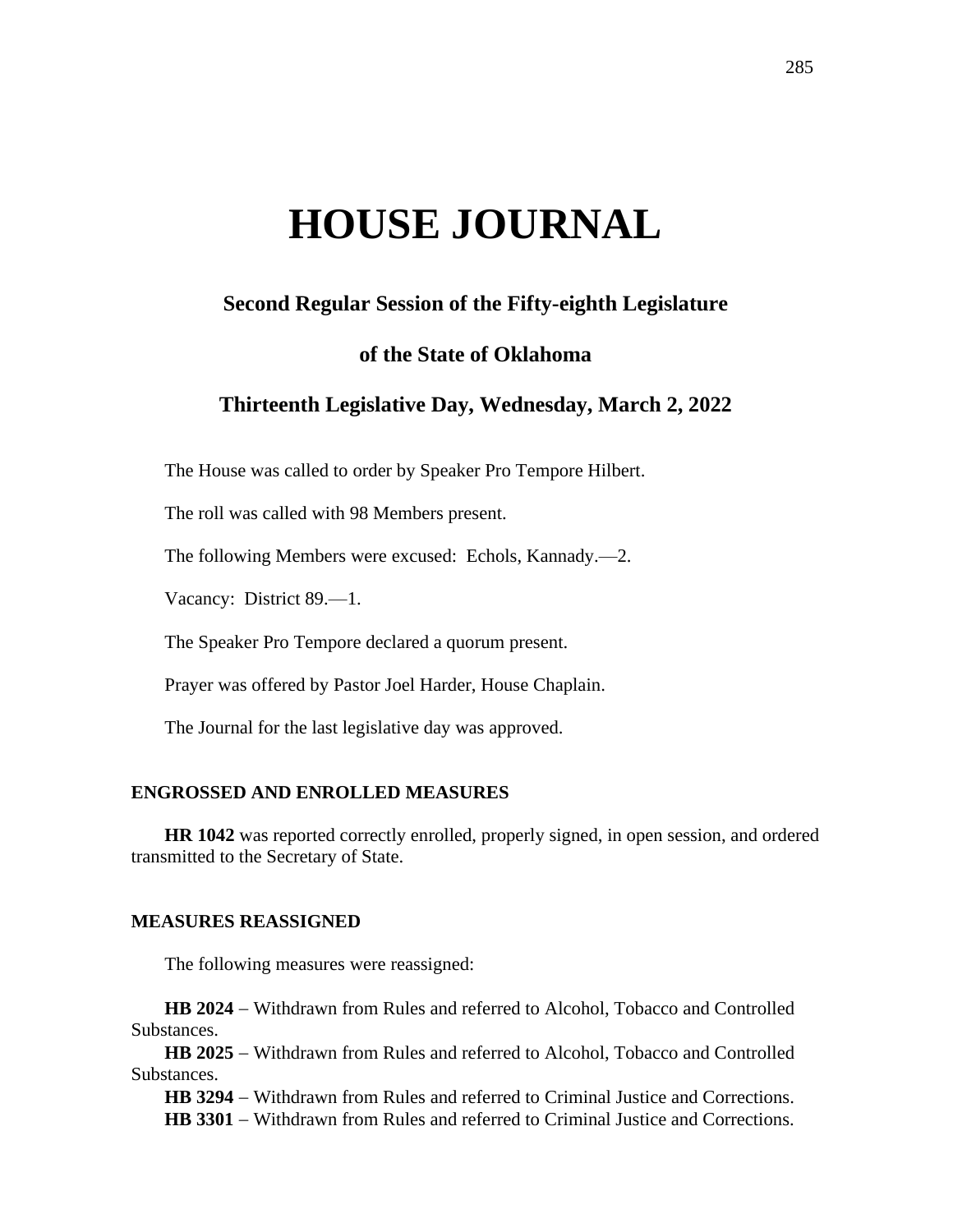# **HOUSE JOURNAL**

# **Second Regular Session of the Fifty-eighth Legislature**

# **of the State of Oklahoma**

# **Thirteenth Legislative Day, Wednesday, March 2, 2022**

The House was called to order by Speaker Pro Tempore Hilbert.

The roll was called with 98 Members present.

The following Members were excused: Echols, Kannady.—2.

Vacancy: District 89.—1.

The Speaker Pro Tempore declared a quorum present.

Prayer was offered by Pastor Joel Harder, House Chaplain.

The Journal for the last legislative day was approved.

#### **ENGROSSED AND ENROLLED MEASURES**

**HR 1042** was reported correctly enrolled, properly signed, in open session, and ordered transmitted to the Secretary of State.

#### **MEASURES REASSIGNED**

The following measures were reassigned:

**HB 2024** − Withdrawn from Rules and referred to Alcohol, Tobacco and Controlled Substances.

**HB 2025** − Withdrawn from Rules and referred to Alcohol, Tobacco and Controlled Substances.

**HB 3294** − Withdrawn from Rules and referred to Criminal Justice and Corrections. **HB 3301** − Withdrawn from Rules and referred to Criminal Justice and Corrections.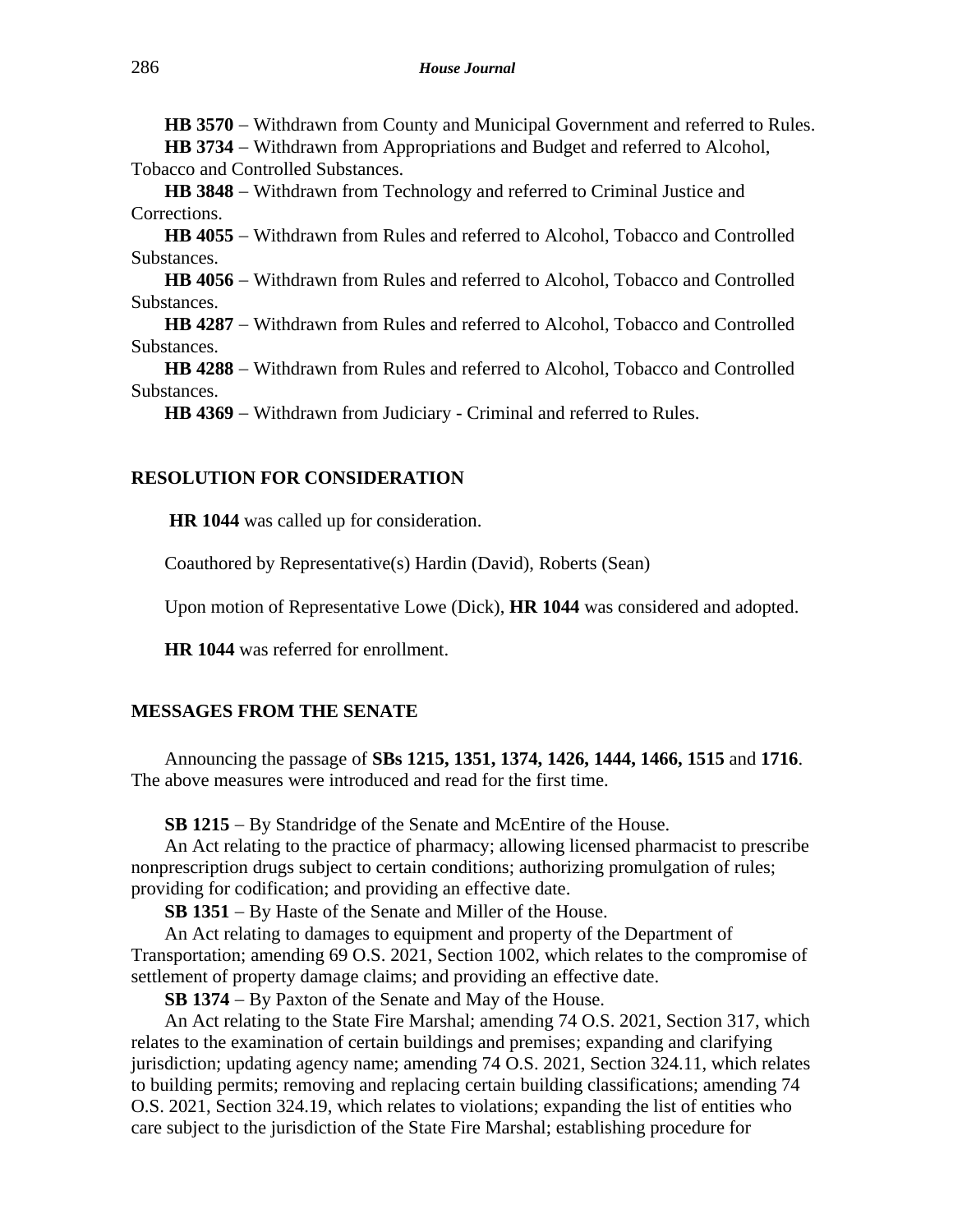**HB 3570** − Withdrawn from County and Municipal Government and referred to Rules.

**HB 3734** − Withdrawn from Appropriations and Budget and referred to Alcohol, Tobacco and Controlled Substances.

**HB 3848** − Withdrawn from Technology and referred to Criminal Justice and Corrections.

**HB 4055** − Withdrawn from Rules and referred to Alcohol, Tobacco and Controlled Substances.

**HB 4056** − Withdrawn from Rules and referred to Alcohol, Tobacco and Controlled Substances.

**HB 4287** − Withdrawn from Rules and referred to Alcohol, Tobacco and Controlled Substances.

**HB 4288** − Withdrawn from Rules and referred to Alcohol, Tobacco and Controlled Substances.

HB 4369 − Withdrawn from Judiciary - Criminal and referred to Rules.

#### **RESOLUTION FOR CONSIDERATION**

**HR 1044** was called up for consideration.

Coauthored by Representative(s) Hardin (David), Roberts (Sean)

Upon motion of Representative Lowe (Dick), **HR 1044** was considered and adopted.

**HR 1044** was referred for enrollment.

#### **MESSAGES FROM THE SENATE**

Announcing the passage of **SBs 1215, 1351, 1374, 1426, 1444, 1466, 1515** and **1716**. The above measures were introduced and read for the first time.

**SB 1215** − By Standridge of the Senate and McEntire of the House.

An Act relating to the practice of pharmacy; allowing licensed pharmacist to prescribe nonprescription drugs subject to certain conditions; authorizing promulgation of rules; providing for codification; and providing an effective date.

**SB 1351** − By Haste of the Senate and Miller of the House.

An Act relating to damages to equipment and property of the Department of Transportation; amending 69 O.S. 2021, Section 1002, which relates to the compromise of settlement of property damage claims; and providing an effective date.

**SB 1374** − By Paxton of the Senate and May of the House.

An Act relating to the State Fire Marshal; amending 74 O.S. 2021, Section 317, which relates to the examination of certain buildings and premises; expanding and clarifying jurisdiction; updating agency name; amending 74 O.S. 2021, Section 324.11, which relates to building permits; removing and replacing certain building classifications; amending 74 O.S. 2021, Section 324.19, which relates to violations; expanding the list of entities who care subject to the jurisdiction of the State Fire Marshal; establishing procedure for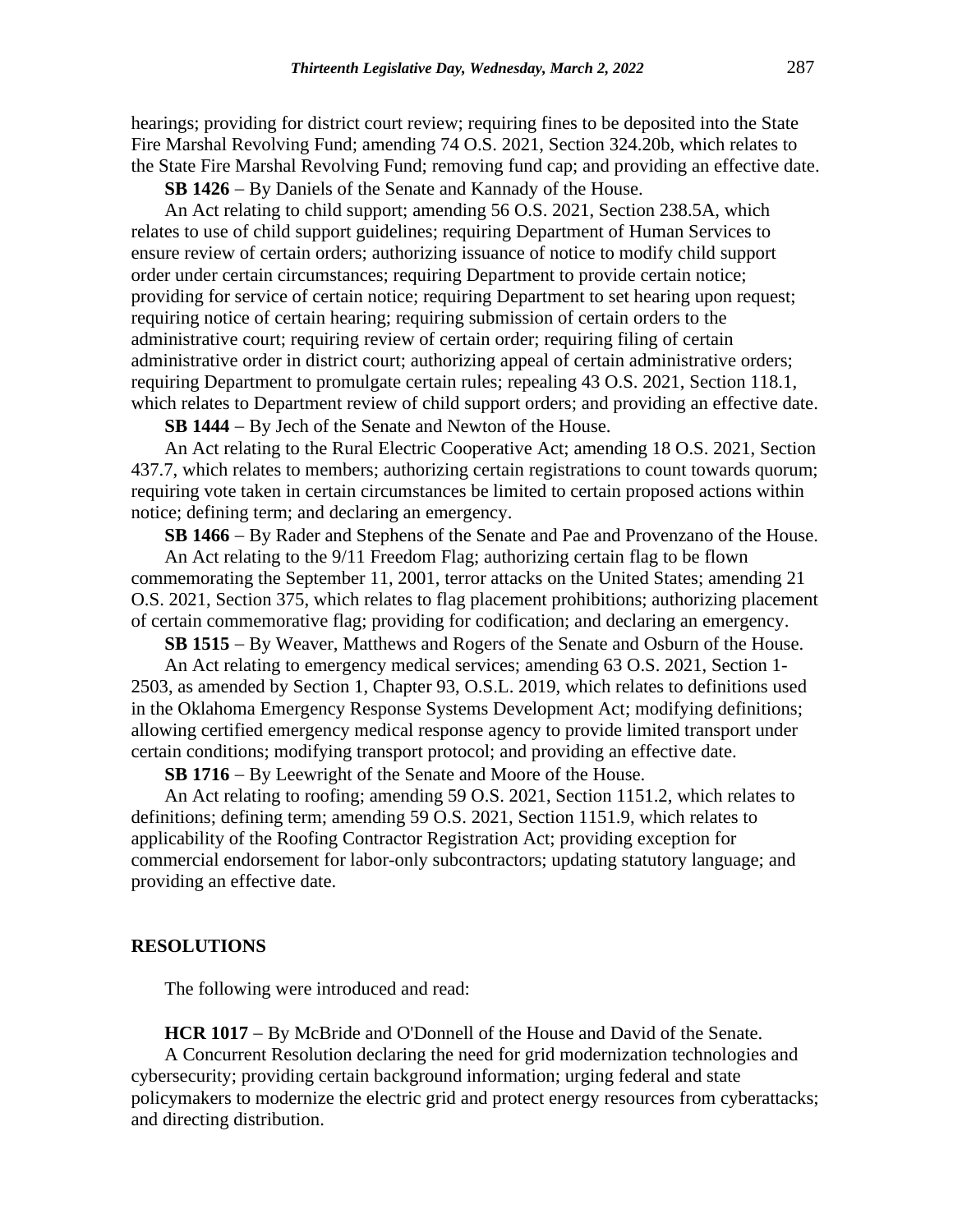hearings; providing for district court review; requiring fines to be deposited into the State Fire Marshal Revolving Fund; amending 74 O.S. 2021, Section 324.20b, which relates to the State Fire Marshal Revolving Fund; removing fund cap; and providing an effective date.

**SB 1426** − By Daniels of the Senate and Kannady of the House.

An Act relating to child support; amending 56 O.S. 2021, Section 238.5A, which relates to use of child support guidelines; requiring Department of Human Services to ensure review of certain orders; authorizing issuance of notice to modify child support order under certain circumstances; requiring Department to provide certain notice; providing for service of certain notice; requiring Department to set hearing upon request; requiring notice of certain hearing; requiring submission of certain orders to the administrative court; requiring review of certain order; requiring filing of certain administrative order in district court; authorizing appeal of certain administrative orders; requiring Department to promulgate certain rules; repealing 43 O.S. 2021, Section 118.1, which relates to Department review of child support orders; and providing an effective date.

**SB 1444** − By Jech of the Senate and Newton of the House.

An Act relating to the Rural Electric Cooperative Act; amending 18 O.S. 2021, Section 437.7, which relates to members; authorizing certain registrations to count towards quorum; requiring vote taken in certain circumstances be limited to certain proposed actions within notice; defining term; and declaring an emergency.

**SB 1466** − By Rader and Stephens of the Senate and Pae and Provenzano of the House.

An Act relating to the 9/11 Freedom Flag; authorizing certain flag to be flown commemorating the September 11, 2001, terror attacks on the United States; amending 21 O.S. 2021, Section 375, which relates to flag placement prohibitions; authorizing placement of certain commemorative flag; providing for codification; and declaring an emergency.

**SB 1515** − By Weaver, Matthews and Rogers of the Senate and Osburn of the House.

An Act relating to emergency medical services; amending 63 O.S. 2021, Section 1- 2503, as amended by Section 1, Chapter 93, O.S.L. 2019, which relates to definitions used in the Oklahoma Emergency Response Systems Development Act; modifying definitions; allowing certified emergency medical response agency to provide limited transport under certain conditions; modifying transport protocol; and providing an effective date.

**SB 1716** − By Leewright of the Senate and Moore of the House.

An Act relating to roofing; amending 59 O.S. 2021, Section 1151.2, which relates to definitions; defining term; amending 59 O.S. 2021, Section 1151.9, which relates to applicability of the Roofing Contractor Registration Act; providing exception for commercial endorsement for labor-only subcontractors; updating statutory language; and providing an effective date.

#### **RESOLUTIONS**

The following were introduced and read:

**HCR 1017** − By McBride and O'Donnell of the House and David of the Senate.

A Concurrent Resolution declaring the need for grid modernization technologies and cybersecurity; providing certain background information; urging federal and state policymakers to modernize the electric grid and protect energy resources from cyberattacks; and directing distribution.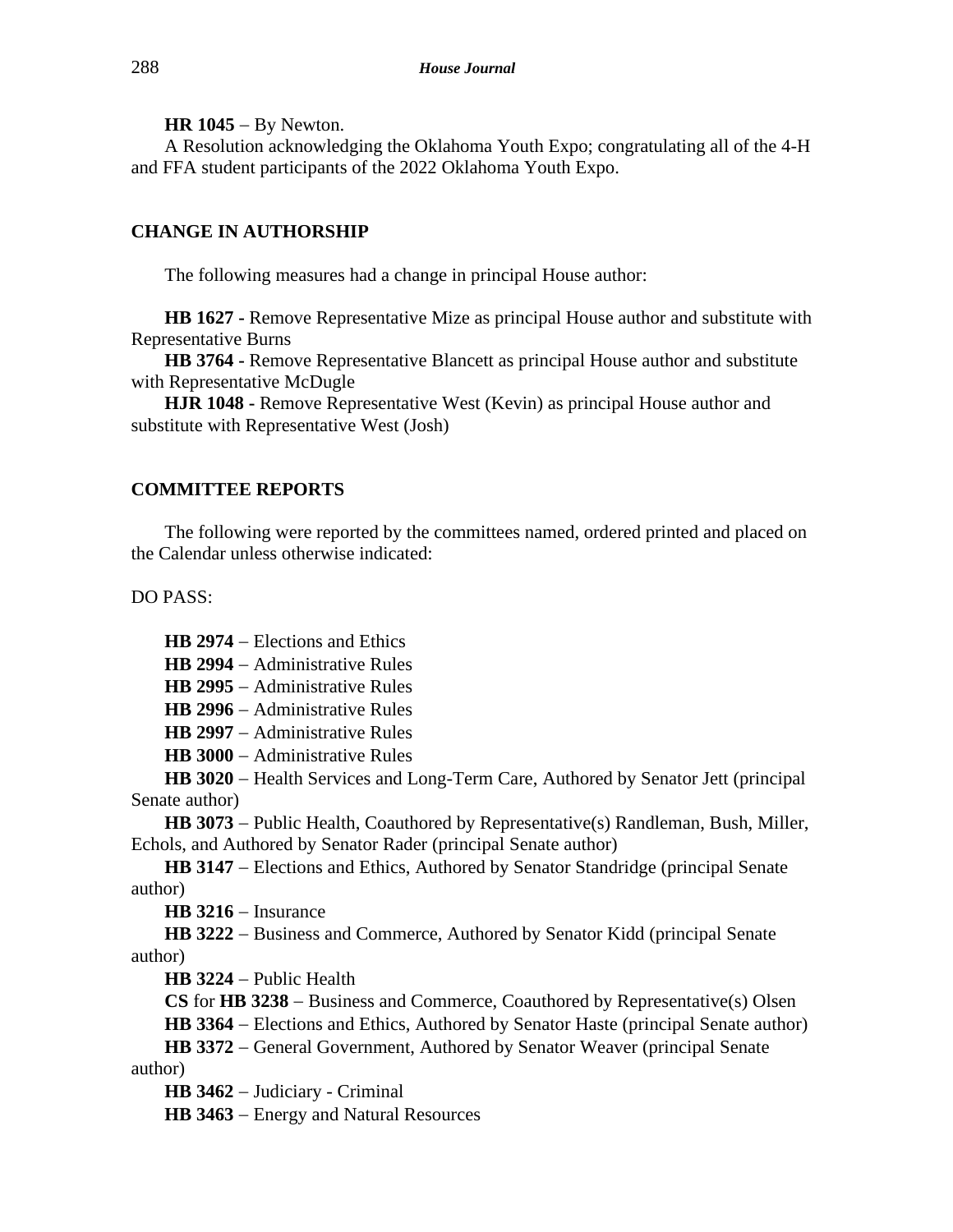**HR 1045** − By Newton.

A Resolution acknowledging the Oklahoma Youth Expo; congratulating all of the 4-H and FFA student participants of the 2022 Oklahoma Youth Expo.

### **CHANGE IN AUTHORSHIP**

The following measures had a change in principal House author:

**HB 1627 -** Remove Representative Mize as principal House author and substitute with Representative Burns

**HB 3764 -** Remove Representative Blancett as principal House author and substitute with Representative McDugle

**HJR 1048 -** Remove Representative West (Kevin) as principal House author and substitute with Representative West (Josh)

#### **COMMITTEE REPORTS**

The following were reported by the committees named, ordered printed and placed on the Calendar unless otherwise indicated:

DO PASS:

**HB 2974** − Elections and Ethics

**HB 2994** − Administrative Rules

**HB 2995** − Administrative Rules

**HB 2996** − Administrative Rules

**HB 2997** − Administrative Rules

**HB 3000** − Administrative Rules

**HB 3020** − Health Services and Long-Term Care, Authored by Senator Jett (principal Senate author)

**HB 3073** − Public Health, Coauthored by Representative(s) Randleman, Bush, Miller, Echols, and Authored by Senator Rader (principal Senate author)

**HB 3147** − Elections and Ethics, Authored by Senator Standridge (principal Senate author)

**HB 3216** − Insurance

**HB 3222** − Business and Commerce, Authored by Senator Kidd (principal Senate author)

**HB 3224** − Public Health

**CS** for **HB 3238** − Business and Commerce, Coauthored by Representative(s) Olsen

**HB 3364** − Elections and Ethics, Authored by Senator Haste (principal Senate author)

**HB 3372** − General Government, Authored by Senator Weaver (principal Senate author)

**HB 3462** − Judiciary - Criminal

**HB 3463** − Energy and Natural Resources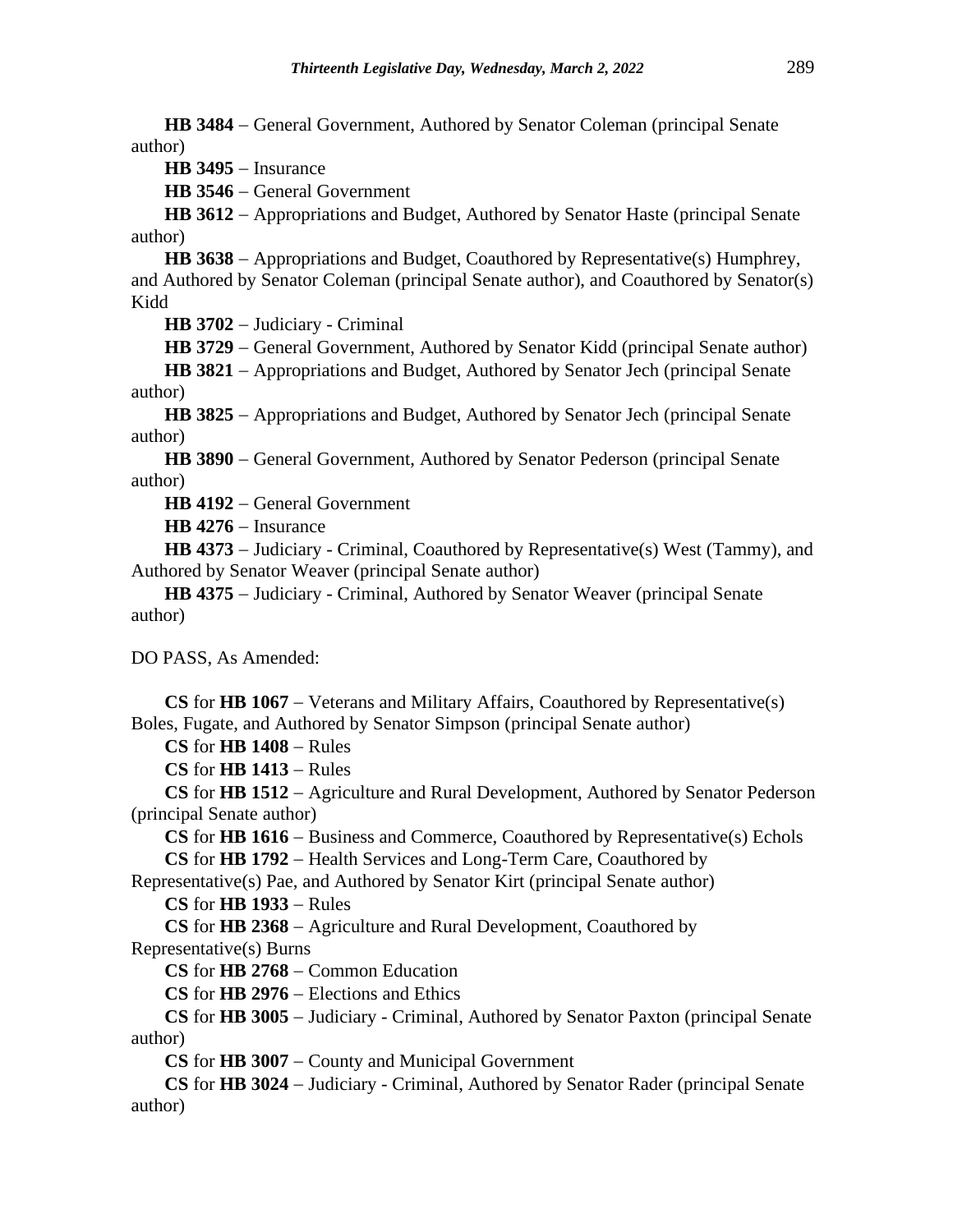**HB 3484** − General Government, Authored by Senator Coleman (principal Senate author)

**HB 3495** − Insurance

**HB 3546** − General Government

**HB 3612** − Appropriations and Budget, Authored by Senator Haste (principal Senate author)

**HB 3638** − Appropriations and Budget, Coauthored by Representative(s) Humphrey, and Authored by Senator Coleman (principal Senate author), and Coauthored by Senator(s) Kidd

**HB 3702** − Judiciary - Criminal

**HB 3729** − General Government, Authored by Senator Kidd (principal Senate author)

**HB 3821** − Appropriations and Budget, Authored by Senator Jech (principal Senate author)

**HB 3825** − Appropriations and Budget, Authored by Senator Jech (principal Senate author)

**HB 3890** − General Government, Authored by Senator Pederson (principal Senate author)

**HB 4192** − General Government

**HB 4276** − Insurance

**HB 4373** − Judiciary - Criminal, Coauthored by Representative(s) West (Tammy), and Authored by Senator Weaver (principal Senate author)

**HB 4375** − Judiciary - Criminal, Authored by Senator Weaver (principal Senate author)

DO PASS, As Amended:

**CS** for **HB 1067** − Veterans and Military Affairs, Coauthored by Representative(s) Boles, Fugate, and Authored by Senator Simpson (principal Senate author)

**CS** for **HB 1408** − Rules

**CS** for **HB 1413** − Rules

**CS** for **HB 1512** − Agriculture and Rural Development, Authored by Senator Pederson (principal Senate author)

**CS** for **HB 1616** − Business and Commerce, Coauthored by Representative(s) Echols **CS** for **HB 1792** − Health Services and Long-Term Care, Coauthored by

Representative(s) Pae, and Authored by Senator Kirt (principal Senate author)

**CS** for **HB 1933** − Rules

**CS** for **HB 2368** − Agriculture and Rural Development, Coauthored by Representative(s) Burns

**CS** for **HB 2768** − Common Education

**CS** for **HB 2976** − Elections and Ethics

**CS** for **HB 3005** − Judiciary - Criminal, Authored by Senator Paxton (principal Senate author)

**CS** for **HB 3007** − County and Municipal Government

**CS** for **HB 3024** − Judiciary - Criminal, Authored by Senator Rader (principal Senate author)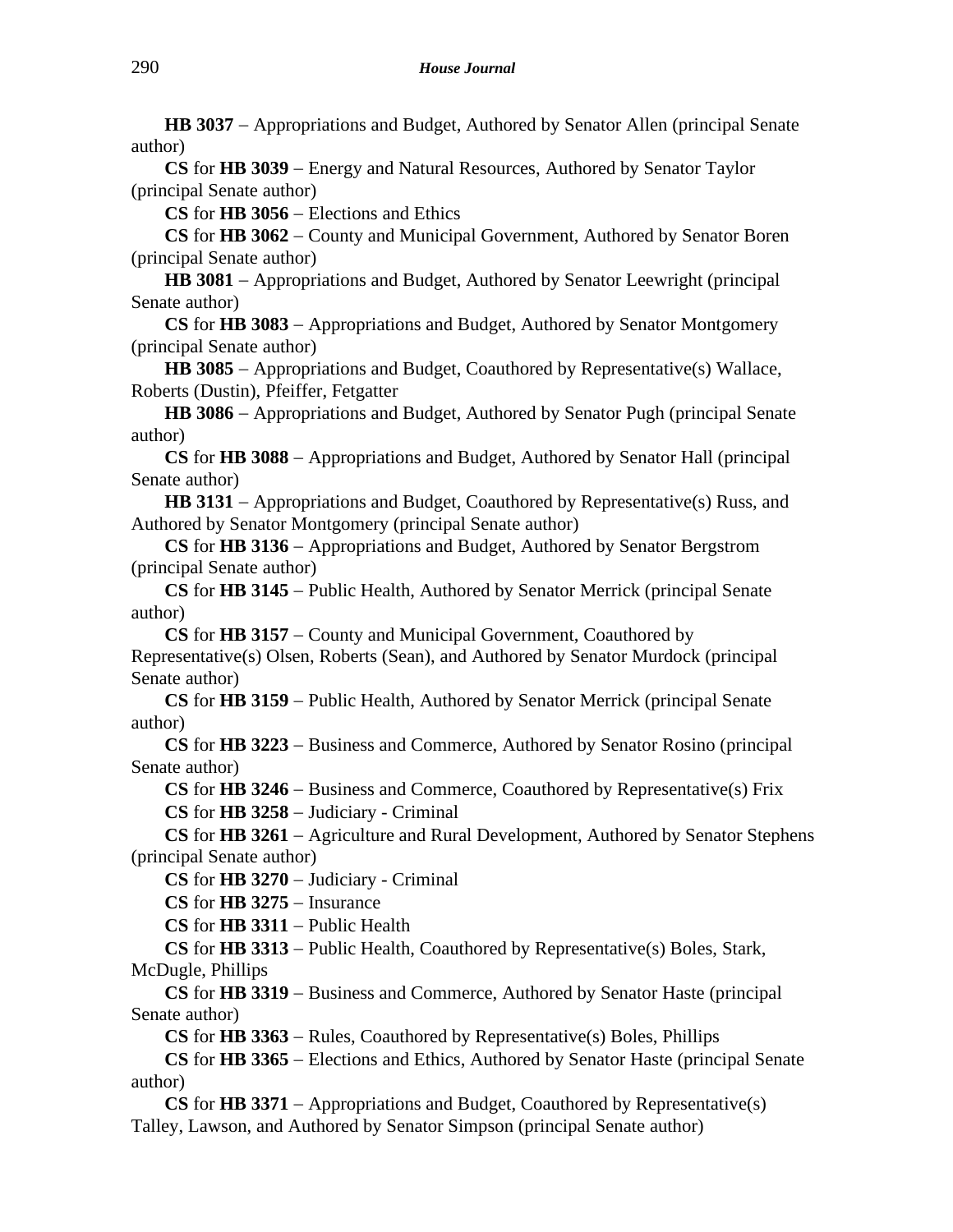**HB 3037** − Appropriations and Budget, Authored by Senator Allen (principal Senate author)

**CS** for **HB 3039** − Energy and Natural Resources, Authored by Senator Taylor (principal Senate author)

**CS** for **HB 3056** − Elections and Ethics

**CS** for **HB 3062** − County and Municipal Government, Authored by Senator Boren (principal Senate author)

**HB 3081** − Appropriations and Budget, Authored by Senator Leewright (principal Senate author)

**CS** for **HB 3083** − Appropriations and Budget, Authored by Senator Montgomery (principal Senate author)

**HB 3085** − Appropriations and Budget, Coauthored by Representative(s) Wallace, Roberts (Dustin), Pfeiffer, Fetgatter

**HB 3086** − Appropriations and Budget, Authored by Senator Pugh (principal Senate author)

**CS** for **HB 3088** − Appropriations and Budget, Authored by Senator Hall (principal Senate author)

HB 3131 – Appropriations and Budget, Coauthored by Representative(s) Russ, and Authored by Senator Montgomery (principal Senate author)

**CS** for **HB 3136** − Appropriations and Budget, Authored by Senator Bergstrom (principal Senate author)

**CS** for **HB 3145** − Public Health, Authored by Senator Merrick (principal Senate author)

**CS** for **HB 3157** − County and Municipal Government, Coauthored by Representative(s) Olsen, Roberts (Sean), and Authored by Senator Murdock (principal Senate author)

**CS** for **HB 3159** − Public Health, Authored by Senator Merrick (principal Senate author)

**CS** for **HB 3223** − Business and Commerce, Authored by Senator Rosino (principal Senate author)

**CS** for **HB 3246** − Business and Commerce, Coauthored by Representative(s) Frix **CS** for **HB 3258** − Judiciary - Criminal

**CS** for **HB 3261** − Agriculture and Rural Development, Authored by Senator Stephens (principal Senate author)

**CS** for **HB 3270** − Judiciary - Criminal

**CS** for **HB 3275** − Insurance

**CS** for **HB 3311** − Public Health

**CS** for **HB 3313** − Public Health, Coauthored by Representative(s) Boles, Stark, McDugle, Phillips

**CS** for **HB 3319** − Business and Commerce, Authored by Senator Haste (principal Senate author)

**CS** for **HB 3363** − Rules, Coauthored by Representative(s) Boles, Phillips

**CS** for **HB 3365** − Elections and Ethics, Authored by Senator Haste (principal Senate author)

**CS** for **HB 3371** − Appropriations and Budget, Coauthored by Representative(s) Talley, Lawson, and Authored by Senator Simpson (principal Senate author)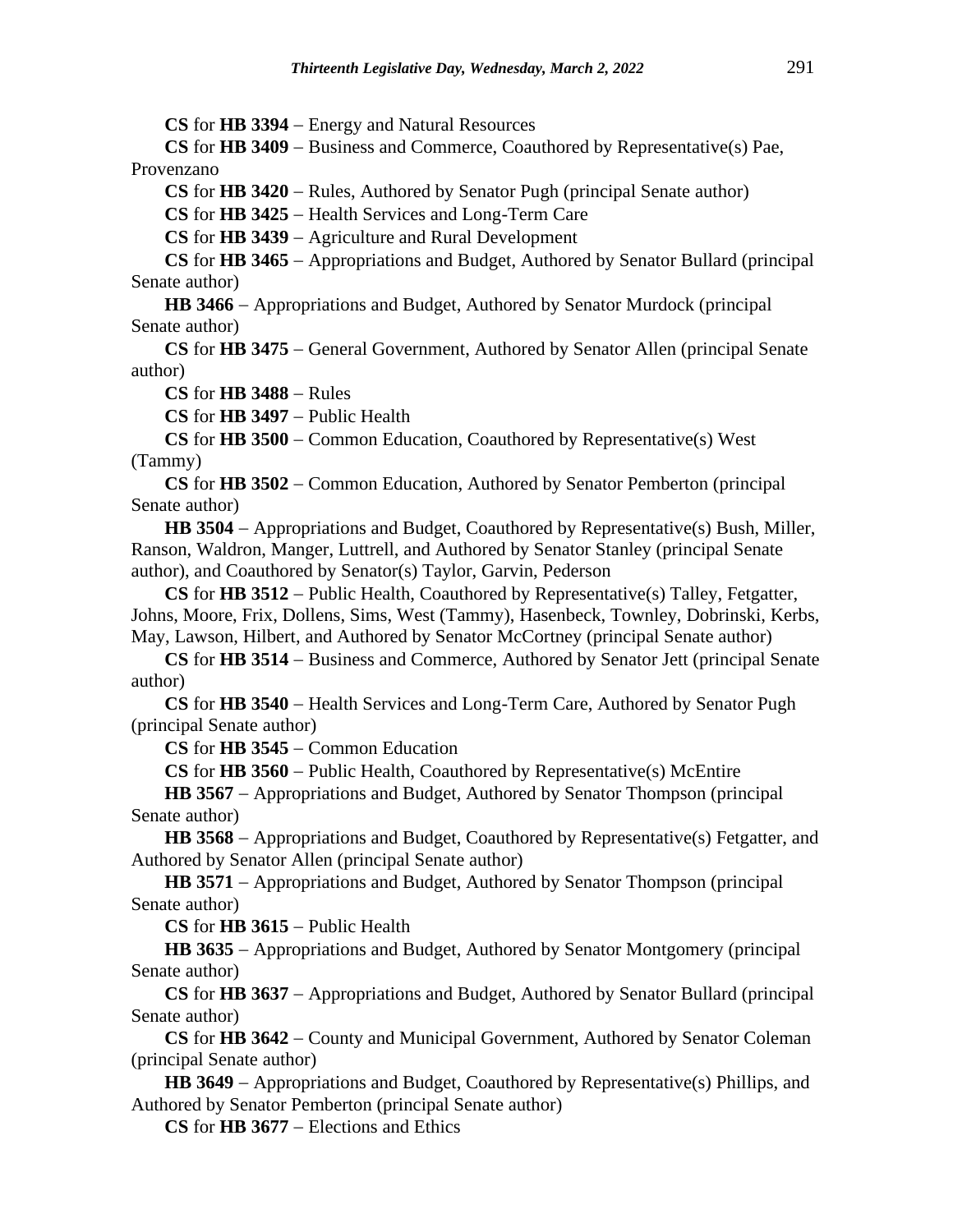**CS** for **HB 3394** − Energy and Natural Resources

**CS** for **HB 3409** − Business and Commerce, Coauthored by Representative(s) Pae, Provenzano

**CS** for **HB 3420** − Rules, Authored by Senator Pugh (principal Senate author)

**CS** for **HB 3425** − Health Services and Long-Term Care

**CS** for **HB 3439** − Agriculture and Rural Development

**CS** for **HB 3465** − Appropriations and Budget, Authored by Senator Bullard (principal Senate author)

**HB 3466** − Appropriations and Budget, Authored by Senator Murdock (principal Senate author)

**CS** for **HB 3475** − General Government, Authored by Senator Allen (principal Senate author)

**CS** for **HB 3488** − Rules

**CS** for **HB 3497** − Public Health

**CS** for **HB 3500** − Common Education, Coauthored by Representative(s) West (Tammy)

**CS** for **HB 3502** − Common Education, Authored by Senator Pemberton (principal Senate author)

**HB 3504** − Appropriations and Budget, Coauthored by Representative(s) Bush, Miller, Ranson, Waldron, Manger, Luttrell, and Authored by Senator Stanley (principal Senate author), and Coauthored by Senator(s) Taylor, Garvin, Pederson

**CS** for **HB 3512** − Public Health, Coauthored by Representative(s) Talley, Fetgatter, Johns, Moore, Frix, Dollens, Sims, West (Tammy), Hasenbeck, Townley, Dobrinski, Kerbs, May, Lawson, Hilbert, and Authored by Senator McCortney (principal Senate author)

**CS** for **HB 3514** − Business and Commerce, Authored by Senator Jett (principal Senate author)

**CS** for **HB 3540** − Health Services and Long-Term Care, Authored by Senator Pugh (principal Senate author)

**CS** for **HB 3545** − Common Education

**CS** for **HB 3560** − Public Health, Coauthored by Representative(s) McEntire

HB 3567 – Appropriations and Budget, Authored by Senator Thompson (principal Senate author)

HB 3568 – Appropriations and Budget, Coauthored by Representative(s) Fetgatter, and Authored by Senator Allen (principal Senate author)

HB 3571 – Appropriations and Budget, Authored by Senator Thompson (principal Senate author)

**CS** for **HB 3615** − Public Health

**HB 3635** − Appropriations and Budget, Authored by Senator Montgomery (principal Senate author)

**CS** for **HB 3637** − Appropriations and Budget, Authored by Senator Bullard (principal Senate author)

**CS** for **HB 3642** − County and Municipal Government, Authored by Senator Coleman (principal Senate author)

HB 3649 – Appropriations and Budget, Coauthored by Representative(s) Phillips, and Authored by Senator Pemberton (principal Senate author)

**CS** for **HB 3677** − Elections and Ethics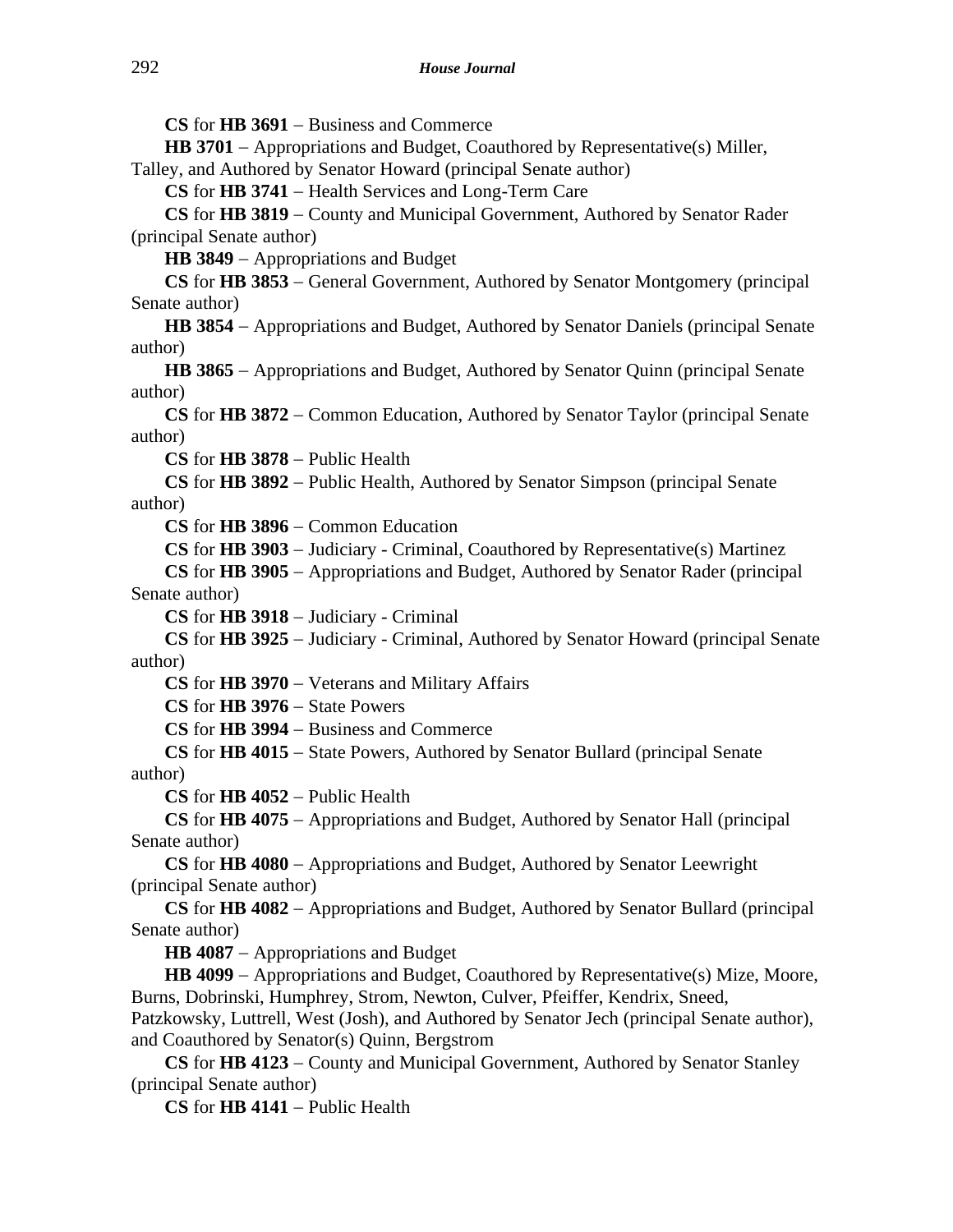**CS** for **HB 3691** − Business and Commerce

**HB 3701** − Appropriations and Budget, Coauthored by Representative(s) Miller, Talley, and Authored by Senator Howard (principal Senate author)

**CS** for **HB 3741** − Health Services and Long-Term Care

**CS** for **HB 3819** − County and Municipal Government, Authored by Senator Rader (principal Senate author)

**HB 3849** − Appropriations and Budget

**CS** for **HB 3853** − General Government, Authored by Senator Montgomery (principal Senate author)

**HB 3854** − Appropriations and Budget, Authored by Senator Daniels (principal Senate author)

**HB 3865** − Appropriations and Budget, Authored by Senator Quinn (principal Senate author)

**CS** for **HB 3872** − Common Education, Authored by Senator Taylor (principal Senate author)

**CS** for **HB 3878** − Public Health

**CS** for **HB 3892** − Public Health, Authored by Senator Simpson (principal Senate author)

**CS** for **HB 3896** − Common Education

**CS** for **HB 3903** − Judiciary - Criminal, Coauthored by Representative(s) Martinez

**CS** for **HB 3905** − Appropriations and Budget, Authored by Senator Rader (principal Senate author)

**CS** for **HB 3918** − Judiciary - Criminal

**CS** for **HB 3925** − Judiciary - Criminal, Authored by Senator Howard (principal Senate author)

**CS** for **HB 3970** − Veterans and Military Affairs

**CS** for **HB 3976** − State Powers

**CS** for **HB 3994** − Business and Commerce

**CS** for **HB 4015** − State Powers, Authored by Senator Bullard (principal Senate author)

**CS** for **HB 4052** − Public Health

**CS** for **HB 4075** − Appropriations and Budget, Authored by Senator Hall (principal Senate author)

**CS** for **HB 4080** − Appropriations and Budget, Authored by Senator Leewright (principal Senate author)

**CS** for **HB 4082** − Appropriations and Budget, Authored by Senator Bullard (principal Senate author)

**HB 4087** − Appropriations and Budget

**HB 4099** − Appropriations and Budget, Coauthored by Representative(s) Mize, Moore, Burns, Dobrinski, Humphrey, Strom, Newton, Culver, Pfeiffer, Kendrix, Sneed, Patzkowsky, Luttrell, West (Josh), and Authored by Senator Jech (principal Senate author), and Coauthored by Senator(s) Quinn, Bergstrom

**CS** for **HB 4123** − County and Municipal Government, Authored by Senator Stanley (principal Senate author)

**CS** for **HB 4141** − Public Health